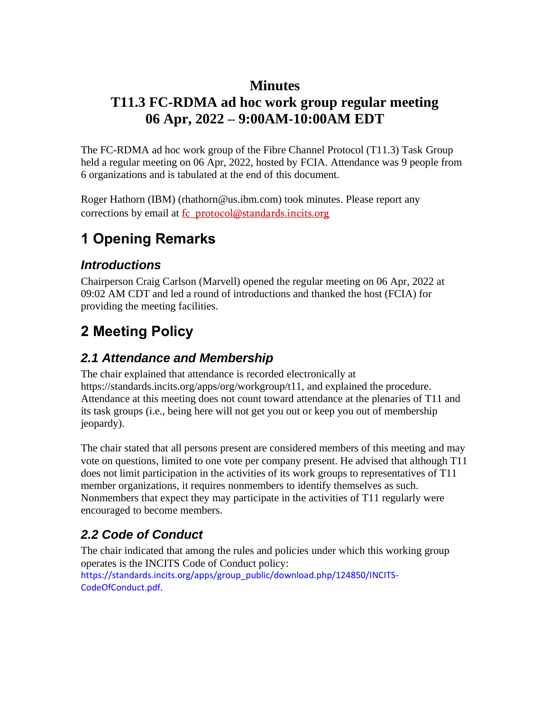### **Minutes**

## **T11.3 FC-RDMA ad hoc work group regular meeting 06 Apr, 2022 – 9:00AM-10:00AM EDT**

The FC-RDMA ad hoc work group of the Fibre Channel Protocol (T11.3) Task Group held a regular meeting on 06 Apr, 2022, hosted by FCIA. Attendance was 9 people from 6 organizations and is tabulated at the end of this document.

Roger Hathorn (IBM) (rhathorn@us.ibm.com) took minutes. Please report any corrections by email at fc\_protocol@standards.incits.org

# **1 Opening Remarks**

### *Introductions*

Chairperson Craig Carlson (Marvell) opened the regular meeting on 06 Apr, 2022 at 09:02 AM CDT and led a round of introductions and thanked the host (FCIA) for providing the meeting facilities.

# **2 Meeting Policy**

### *2.1 Attendance and Membership*

The chair explained that attendance is recorded electronically at https://standards.incits.org/apps/org/workgroup/t11, and explained the procedure. Attendance at this meeting does not count toward attendance at the plenaries of T11 and its task groups (i.e., being here will not get you out or keep you out of membership jeopardy).

The chair stated that all persons present are considered members of this meeting and may vote on questions, limited to one vote per company present. He advised that although T11 does not limit participation in the activities of its work groups to representatives of T11 member organizations, it requires nonmembers to identify themselves as such. Nonmembers that expect they may participate in the activities of T11 regularly were encouraged to become members.

## *2.2 Code of Conduct*

The chair indicated that among the rules and policies under which this working group operates is the INCITS Code of Conduct policy: https://standards.incits.org/apps/group\_public/download.php/124850/INCITS-CodeOfConduct.pdf.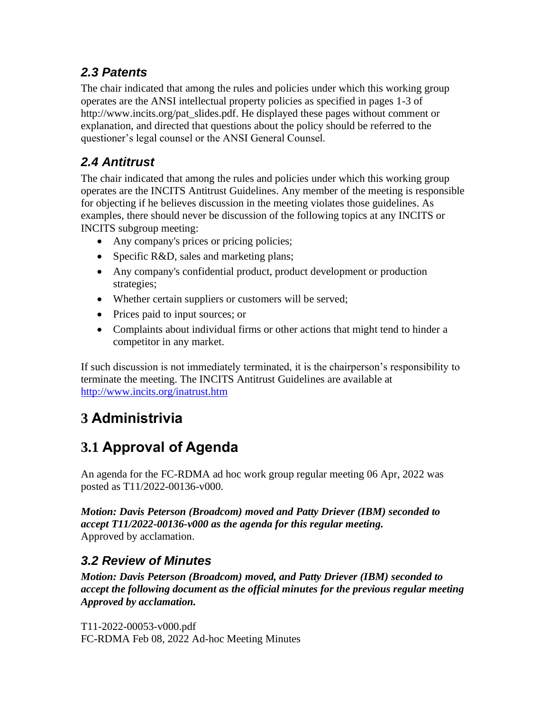### *2.3 Patents*

The chair indicated that among the rules and policies under which this working group operates are the ANSI intellectual property policies as specified in pages 1-3 of http://www.incits.org/pat\_slides.pdf. He displayed these pages without comment or explanation, and directed that questions about the policy should be referred to the questioner's legal counsel or the ANSI General Counsel.

### *2.4 Antitrust*

The chair indicated that among the rules and policies under which this working group operates are the INCITS Antitrust Guidelines. Any member of the meeting is responsible for objecting if he believes discussion in the meeting violates those guidelines. As examples, there should never be discussion of the following topics at any INCITS or INCITS subgroup meeting:

- Any company's prices or pricing policies;
- Specific R&D, sales and marketing plans;
- Any company's confidential product, product development or production strategies;
- Whether certain suppliers or customers will be served;
- Prices paid to input sources; or
- Complaints about individual firms or other actions that might tend to hinder a competitor in any market.

If such discussion is not immediately terminated, it is the chairperson's responsibility to terminate the meeting. The INCITS Antitrust Guidelines are available at <http://www.incits.org/inatrust.htm>

# **3 Administrivia**

# **3.1 Approval of Agenda**

An agenda for the FC-RDMA ad hoc work group regular meeting 06 Apr, 2022 was posted as T11/2022-00136-v000.

*Motion: Davis Peterson (Broadcom) moved and Patty Driever (IBM) seconded to accept T11/2022-00136-v000 as the agenda for this regular meeting.*  Approved by acclamation.

### *3.2 Review of Minutes*

*Motion: Davis Peterson (Broadcom) moved, and Patty Driever (IBM) seconded to accept the following document as the official minutes for the previous regular meeting Approved by acclamation.* 

T11-2022-00053-v000.pdf FC-RDMA Feb 08, 2022 Ad-hoc Meeting Minutes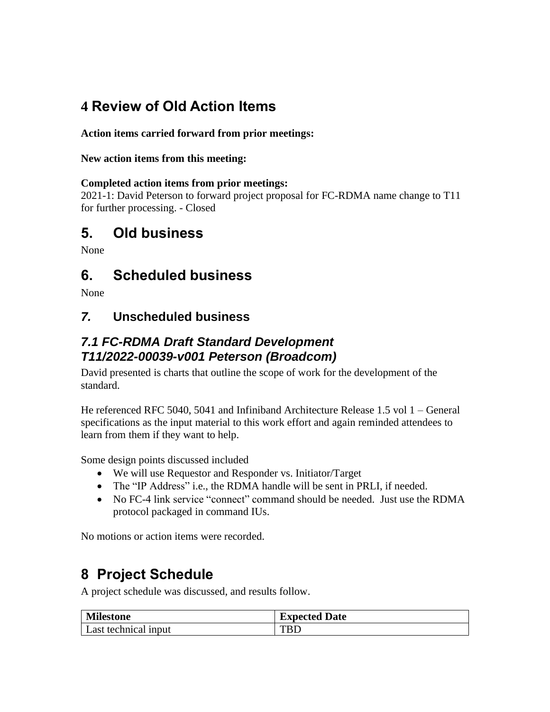# **4 Review of Old Action Items**

#### **Action items carried forward from prior meetings:**

#### **New action items from this meeting:**

#### **Completed action items from prior meetings:**

2021-1: David Peterson to forward project proposal for FC-RDMA name change to T11 for further processing. - Closed

## **5. Old business**

None

## **6. Scheduled business**

None

### *7.* **Unscheduled business**

### *7.1 FC-RDMA Draft Standard Development T11/2022-00039-v001 Peterson (Broadcom)*

David presented is charts that outline the scope of work for the development of the standard.

He referenced RFC 5040, 5041 and Infiniband Architecture Release 1.5 vol 1 – General specifications as the input material to this work effort and again reminded attendees to learn from them if they want to help.

Some design points discussed included

- We will use Requestor and Responder vs. Initiator/Target
- The "IP Address" i.e., the RDMA handle will be sent in PRLI, if needed.
- No FC-4 link service "connect" command should be needed. Just use the RDMA protocol packaged in command IUs.

No motions or action items were recorded.

## **8 Project Schedule**

A project schedule was discussed, and results follow.

| <b>Milestone</b>     | <b>Expected Date</b> |
|----------------------|----------------------|
| Last technical input | <b>TRD</b>           |